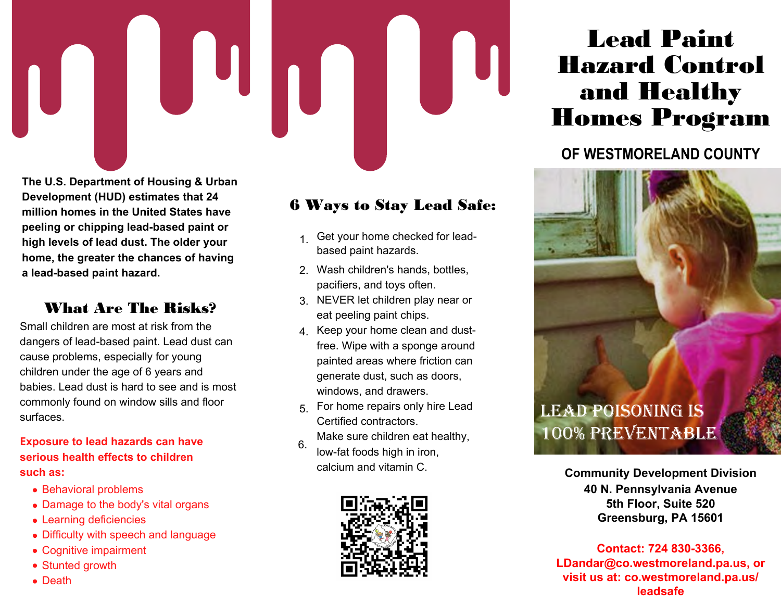

**The U.S. Department of Housing & Urban Development (HUD) estimates that 24 million homes in the United States have peeling or chipping lead-based paint or high levels of lead dust. The older your home, the greater the chances of having a lead-based paint hazard.**

#### What Are The Risks?

Small children are most at risk from the dangers of lead-based paint. Lead dust can cause problems, especially for young children under the age of 6 years and babies. Lead dust is hard to see and is most commonly found on window sills and floor surfaces.

**Exposure to lead hazards can have serious health effects to children such as:**

- Behavioral problems
- Damage to the body's vital organs
- Learning deficiencies
- Difficulty with speech and language
- Cognitive impairment
- Stunted growth
- Death

## 6 Ways to Stay Lead Safe:

- 1. Get your home checked for leadbased paint hazards.
- Wash children's hands, bottles, 2. pacifiers, and toys often.
- NEVER let children play near or 3. eat peeling paint chips.
- $\mathsf{4}_{\cdot}\;$  Keep your home clean and dustfree. Wipe with a sponge around painted areas where friction can generate dust, such as doors, windows, and drawers.
- 5. For home repairs only hire Lead Certified contractors. Make sure children eat healthy,
- low-fat foods high in iron, calcium and vitamin C. 6.



# Lead Paint Hazard Control and Healthy Homes Program

# **OF WESTMORELAND COUNTY**



**Community Development Division 40 N. Pennsylvania Avenue 5th Floor, Suite 520 Greensburg, PA 15601**

**Contact: 724 830-3366, LDandar@co.westmoreland.pa.us, or visit us at: co.westmoreland.pa.us/ leadsafe**